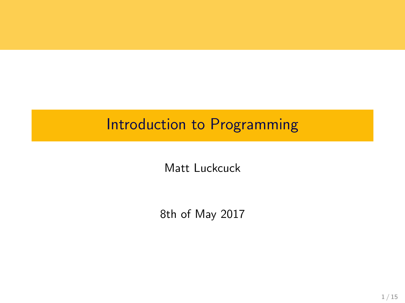# Introduction to Programming

Matt Luckcuck

8th of May 2017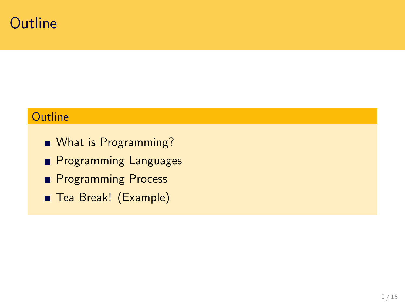### **Outline**

### **Outline**

- What is Programming?
- **Programming Languages**
- **Programming Process**
- Tea Break! (Example)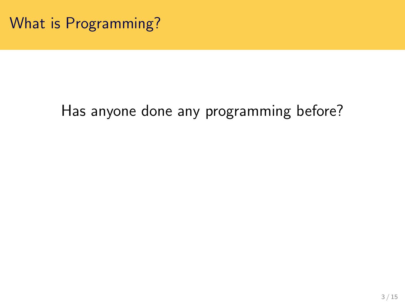What is Programming?

# Has anyone done any programming before?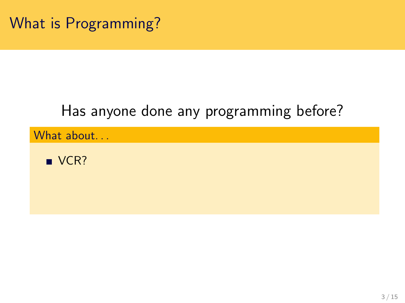# Has anyone done any programming before?

What about...

 $\blacksquare$  VCR?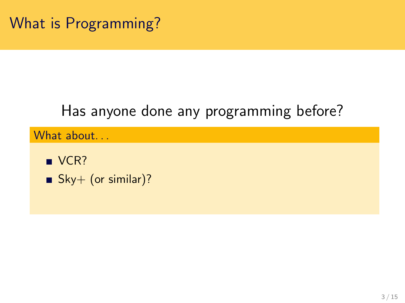# Has anyone done any programming before?

What about...

- $\blacksquare$  VCR?
- Sky+ (or similar)?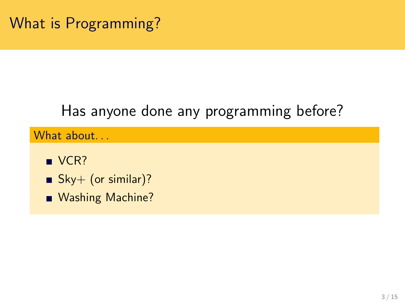# Has anyone done any programming before?

#### What about...

- $\blacksquare$  VCR?
- $Sky+$  (or similar)?
- Washing Machine?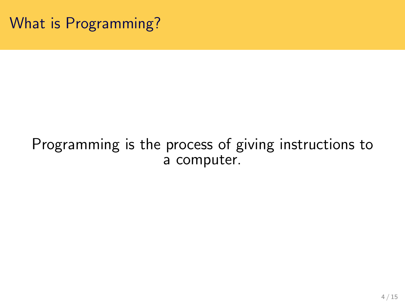### Programming is the process of giving instructions to a computer.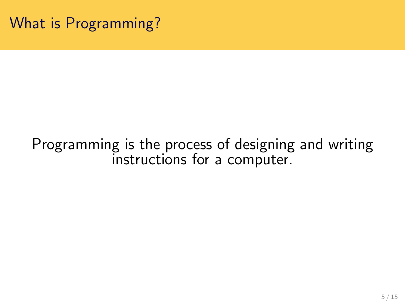### Programming is the process of designing and writing instructions for a computer.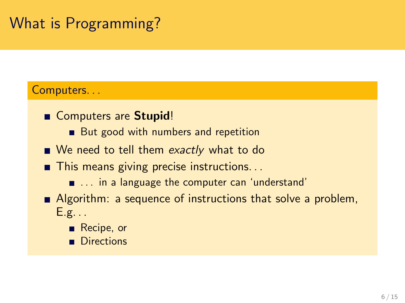# What is Programming?

#### Computers. . .

- Computers are Stupid!
	- But good with numbers and repetition
- We need to tell them exactly what to do
- This means giving precise instructions...
	- ... in a language the computer can 'understand'
- **Algorithm:** a sequence of instructions that solve a problem,  $E.g. . .$ 
	- Recipe, or
	- **Directions**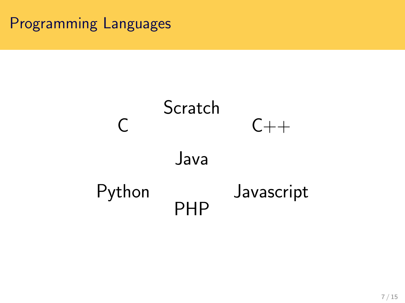## Programming Languages

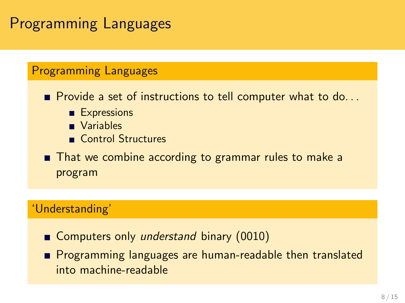## Programming Languages

#### Programming Languages

 $\blacksquare$  Provide a set of instructions to tell computer what to do...

- **Expressions**
- **Variables**
- Control Structures

■ That we combine according to grammar rules to make a program

#### 'Understanding'

- Computers only *understand* binary (0010)
- **Programming languages are human-readable then translated** into machine-readable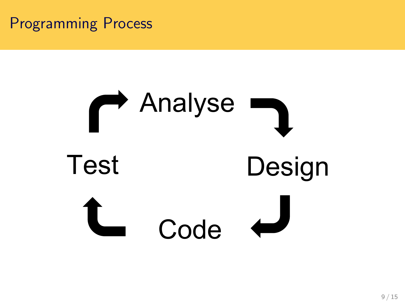### Programming Process

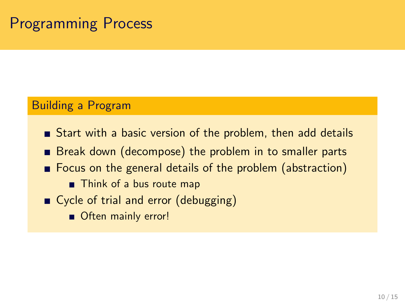## Programming Process

#### Building a Program

- Start with a basic version of the problem, then add details
- **Break down (decompose) the problem in to smaller parts**
- Focus on the general details of the problem (abstraction)
	- Think of a bus route map
- Cycle of trial and error (debugging)
	- Often mainly error!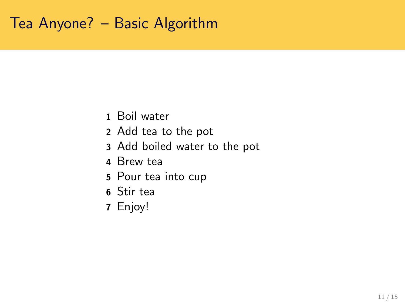## Tea Anyone? – Basic Algorithm

- Boil water
- Add tea to the pot
- Add boiled water to the pot
- Brew tea
- Pour tea into cup
- Stir tea
- Enjoy!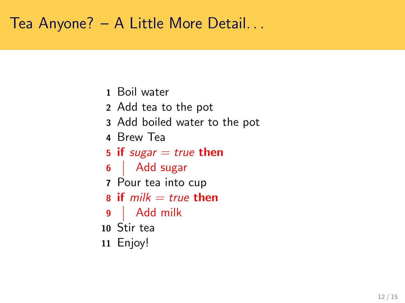## Tea Anyone? – A Little More Detail. . .

- Boil water
- Add tea to the pot
- Add boiled water to the pot
- Brew Tea
- 5 if sugar  $=$  true then
- 6 | Add sugar
- Pour tea into cup
- $\bf{a}$  if  $milk = true$  then
- Add milk
- Stir tea
- Enjoy!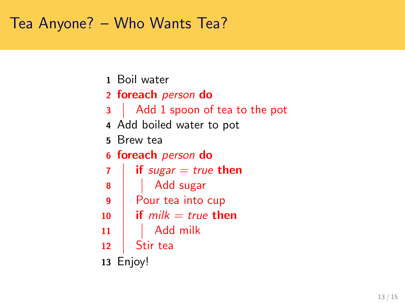## Tea Anyone? – Who Wants Tea?

- Boil water
- 2 foreach person do
- 3 Add 1 spoon of tea to the pot
- Add boiled water to pot
- Brew tea
- foreach person do

 if sugar = true then Add sugar Pour tea into cup if milk = true then Add milk Stir tea

Enjoy!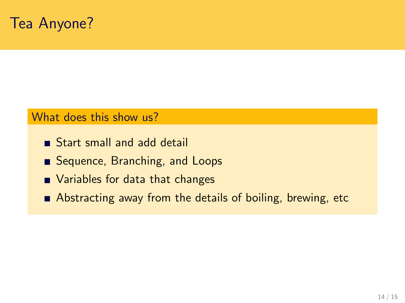### Tea Anyone?

#### What does this show us?

- Start small and add detail
- Sequence, Branching, and Loops
- Variables for data that changes
- Abstracting away from the details of boiling, brewing, etc